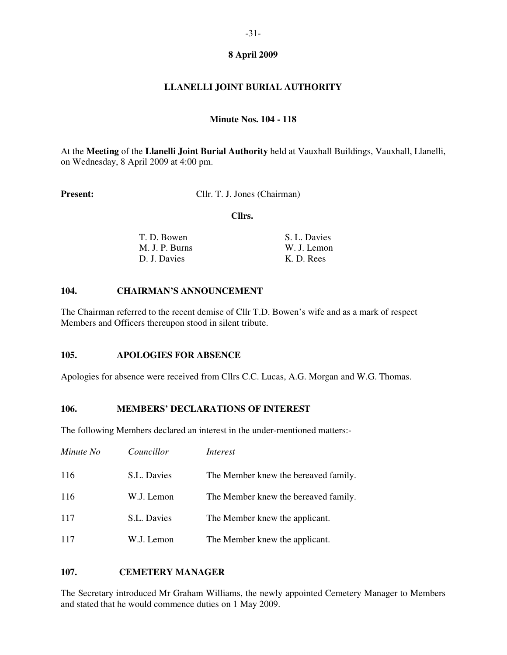# **LLANELLI JOINT BURIAL AUTHORITY**

### **Minute Nos. 104 - 118**

At the **Meeting** of the **Llanelli Joint Burial Authority** held at Vauxhall Buildings, Vauxhall, Llanelli, on Wednesday, 8 April 2009 at 4:00 pm.

**Present:** Cllr. T. J. Jones (Chairman)

 **Cllrs.** 

| T. D. Bowen    | S. L. Davies |
|----------------|--------------|
| M. J. P. Burns | W. J. Lemon  |
| D. J. Davies   | K. D. Rees   |

## **104. CHAIRMAN'S ANNOUNCEMENT**

The Chairman referred to the recent demise of Cllr T.D. Bowen's wife and as a mark of respect Members and Officers thereupon stood in silent tribute.

## **105. APOLOGIES FOR ABSENCE**

Apologies for absence were received from Cllrs C.C. Lucas, A.G. Morgan and W.G. Thomas.

#### **106. MEMBERS' DECLARATIONS OF INTEREST**

The following Members declared an interest in the under-mentioned matters:-

| Minute No | Councillor  | Interest                             |
|-----------|-------------|--------------------------------------|
| 116       | S.L. Davies | The Member knew the bereaved family. |
| 116       | W.J. Lemon  | The Member knew the bereaved family. |
| 117       | S.L. Davies | The Member knew the applicant.       |
| 117       | W.J. Lemon  | The Member knew the applicant.       |

#### **107. CEMETERY MANAGER**

The Secretary introduced Mr Graham Williams, the newly appointed Cemetery Manager to Members and stated that he would commence duties on 1 May 2009.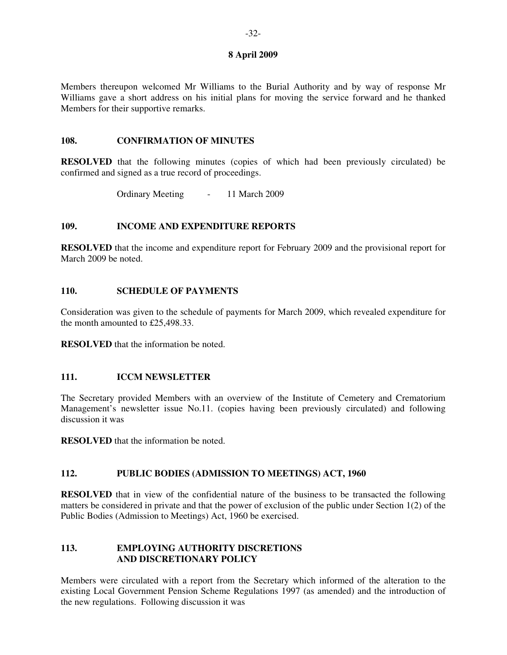Members thereupon welcomed Mr Williams to the Burial Authority and by way of response Mr Williams gave a short address on his initial plans for moving the service forward and he thanked Members for their supportive remarks.

#### **108. CONFIRMATION OF MINUTES**

**RESOLVED** that the following minutes (copies of which had been previously circulated) be confirmed and signed as a true record of proceedings.

Ordinary Meeting - 11 March 2009

#### **109. INCOME AND EXPENDITURE REPORTS**

**RESOLVED** that the income and expenditure report for February 2009 and the provisional report for March 2009 be noted.

## **110. SCHEDULE OF PAYMENTS**

Consideration was given to the schedule of payments for March 2009, which revealed expenditure for the month amounted to £25,498.33.

**RESOLVED** that the information be noted.

#### **111. ICCM NEWSLETTER**

The Secretary provided Members with an overview of the Institute of Cemetery and Crematorium Management's newsletter issue No.11. (copies having been previously circulated) and following discussion it was

**RESOLVED** that the information be noted.

# **112. PUBLIC BODIES (ADMISSION TO MEETINGS) ACT, 1960**

**RESOLVED** that in view of the confidential nature of the business to be transacted the following matters be considered in private and that the power of exclusion of the public under Section 1(2) of the Public Bodies (Admission to Meetings) Act, 1960 be exercised.

## **113. EMPLOYING AUTHORITY DISCRETIONS AND DISCRETIONARY POLICY**

Members were circulated with a report from the Secretary which informed of the alteration to the existing Local Government Pension Scheme Regulations 1997 (as amended) and the introduction of the new regulations. Following discussion it was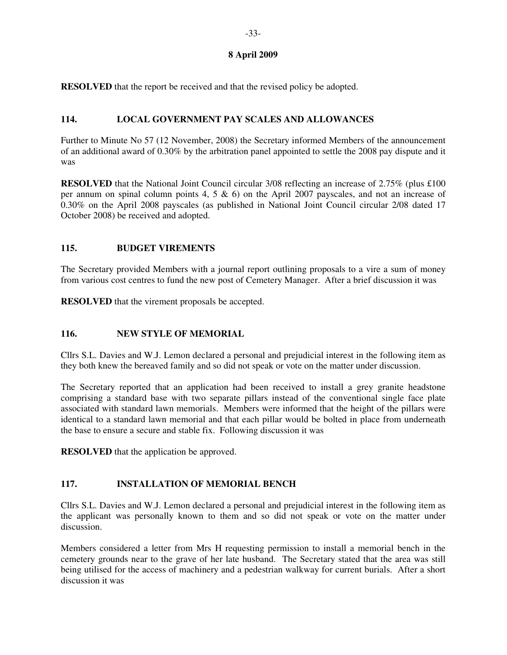**RESOLVED** that the report be received and that the revised policy be adopted.

## **114. LOCAL GOVERNMENT PAY SCALES AND ALLOWANCES**

Further to Minute No 57 (12 November, 2008) the Secretary informed Members of the announcement of an additional award of 0.30% by the arbitration panel appointed to settle the 2008 pay dispute and it was

**RESOLVED** that the National Joint Council circular 3/08 reflecting an increase of 2.75% (plus £100) per annum on spinal column points  $4, 5 \& 6$  on the April 2007 payscales, and not an increase of 0.30% on the April 2008 payscales (as published in National Joint Council circular 2/08 dated 17 October 2008) be received and adopted.

## **115. BUDGET VIREMENTS**

The Secretary provided Members with a journal report outlining proposals to a vire a sum of money from various cost centres to fund the new post of Cemetery Manager. After a brief discussion it was

**RESOLVED** that the virement proposals be accepted.

# **116. NEW STYLE OF MEMORIAL**

Cllrs S.L. Davies and W.J. Lemon declared a personal and prejudicial interest in the following item as they both knew the bereaved family and so did not speak or vote on the matter under discussion.

The Secretary reported that an application had been received to install a grey granite headstone comprising a standard base with two separate pillars instead of the conventional single face plate associated with standard lawn memorials. Members were informed that the height of the pillars were identical to a standard lawn memorial and that each pillar would be bolted in place from underneath the base to ensure a secure and stable fix. Following discussion it was

**RESOLVED** that the application be approved.

# **117. INSTALLATION OF MEMORIAL BENCH**

Cllrs S.L. Davies and W.J. Lemon declared a personal and prejudicial interest in the following item as the applicant was personally known to them and so did not speak or vote on the matter under discussion.

Members considered a letter from Mrs H requesting permission to install a memorial bench in the cemetery grounds near to the grave of her late husband. The Secretary stated that the area was still being utilised for the access of machinery and a pedestrian walkway for current burials. After a short discussion it was